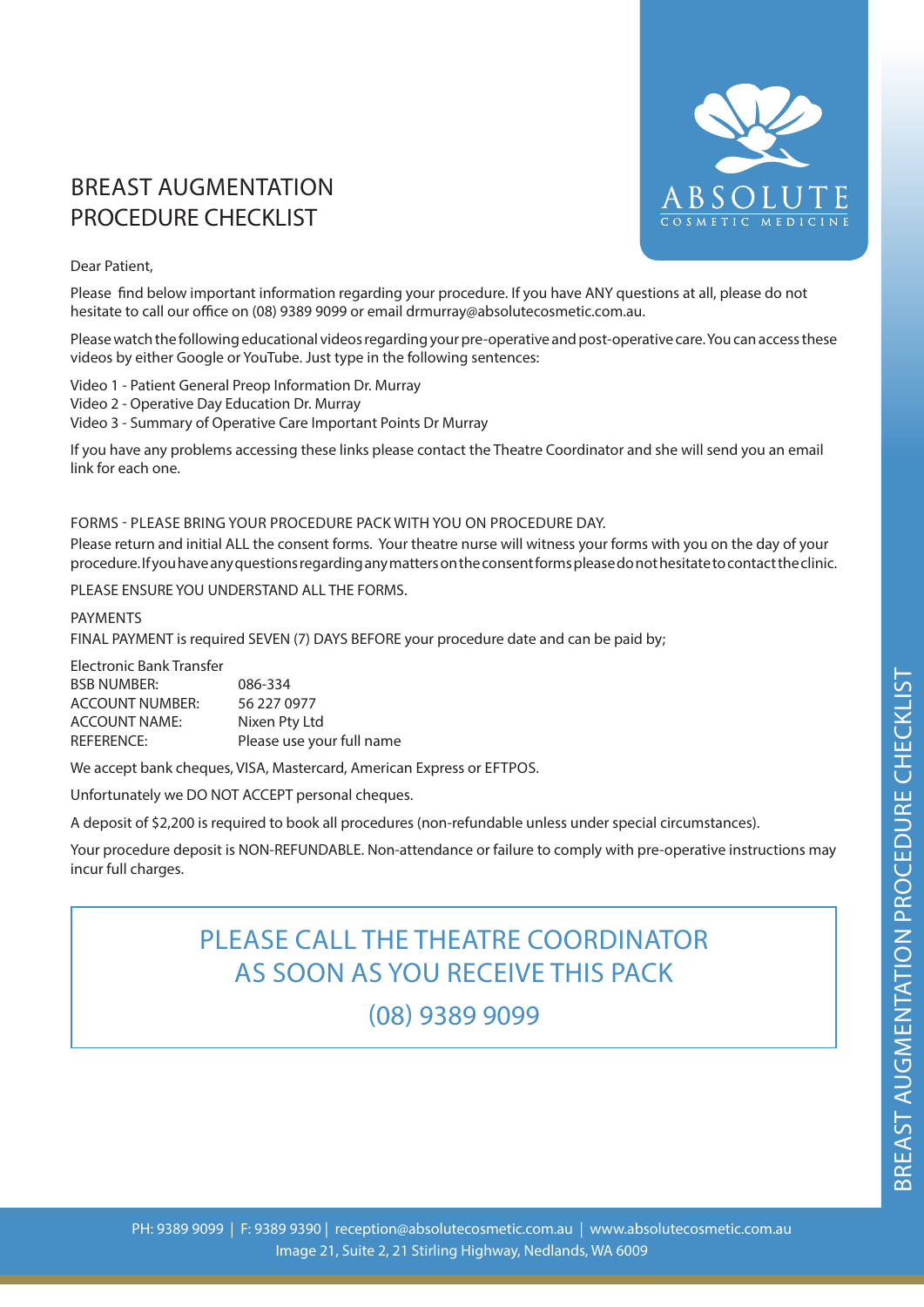## BREAST AUGMENTATION PROCEDURE CHECKLIST



## Dear Patient,

Please find below important information regarding your procedure. If you have ANY questions at all, please do not hesitate to call our office on (08) 9389 9099 or email drmurray@absolutecosmetic.com.au.

Please watch the following educational videos regarding your pre-operative and post-operative care. You can access these videos by either Google or YouTube. Just type in the following sentences:

Video 1 - Patient General Preop Information Dr. Murray

Video 2 - Operative Day Education Dr. Murray

Video 3 - Summary of Operative Care Important Points Dr Murray

If you have any problems accessing these links please contact the Theatre Coordinator and she will send you an email link for each one.

## FORMS - PLEASE BRING YOUR PROCEDURE PACK WITH YOU ON PROCEDURE DAY.

Please return and initial ALL the consent forms. Your theatre nurse will witness your forms with you on the day of your procedure. If you have any questions regarding any matters on the consent forms please do not hesitate to contact the clinic.

PLEASE ENSURE YOU UNDERSTAND ALL THE FORMS.

## PAYMENTS

FINAL PAYMENT is required SEVEN (7) DAYS BEFORE your procedure date and can be paid by;

| Electronic Bank Transfer |                           |
|--------------------------|---------------------------|
| <b>BSB NUMBER:</b>       | 086-334                   |
| <b>ACCOUNT NUMBER:</b>   | 56 227 0977               |
| <b>ACCOUNT NAME:</b>     | Nixen Pty Ltd             |
| REFERENCE:               | Please use your full name |

We accept bank cheques, VISA, Mastercard, American Express or EFTPOS.

Unfortunately we DO NOT ACCEPT personal cheques.

A deposit of \$2,200 is required to book all procedures (non-refundable unless under special circumstances).

Your procedure deposit is NON-REFUNDABLE. Non-attendance or failure to comply with pre-operative instructions may incur full charges.

# PLEASE CALL THE THEATRE COORDINATOR AS SOON AS YOU RECEIVE THIS PACK

(08) 9389 9099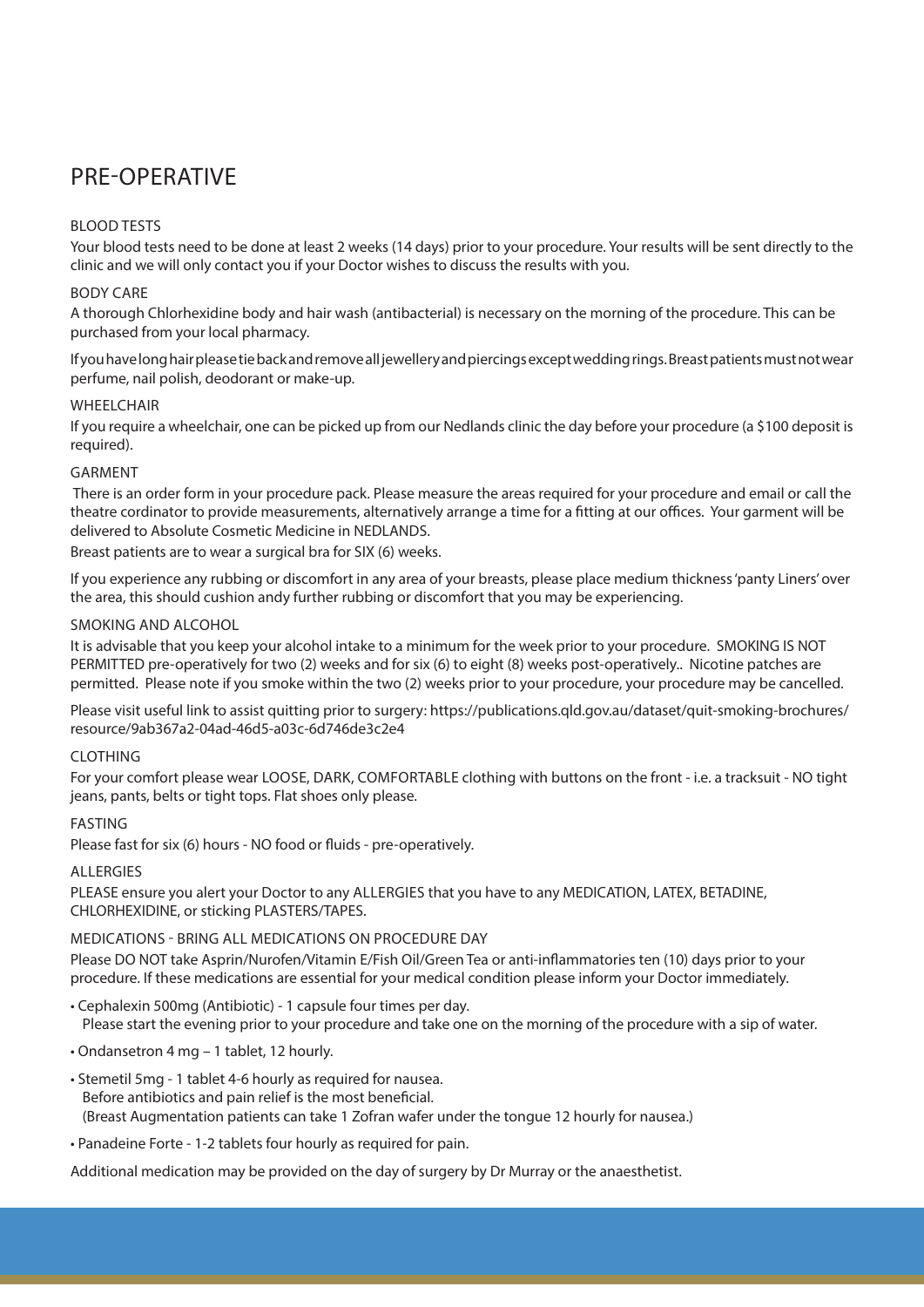## PRE-OPERATIVE

## BLOOD TESTS

Your blood tests need to be done at least 2 weeks (14 days) prior to your procedure. Your results will be sent directly to the clinic and we will only contact you if your Doctor wishes to discuss the results with you.

## BODY CARE

A thorough Chlorhexidine body and hair wash (antibacterial) is necessary on the morning of the procedure. This can be purchased from your local pharmacy.

If you have long hair please tie back and remove all jewellery and piercings except wedding rings. Breast patients must not wear perfume, nail polish, deodorant or make-up.

## WHEELCHAIR

If you require a wheelchair, one can be picked up from our Nedlands clinic the day before your procedure (a \$100 deposit is required).

## GARMENT

 There is an order form in your procedure pack. Please measure the areas required for your procedure and email or call the theatre cordinator to provide measurements, alternatively arrange a time for a fitting at our offices. Your garment will be delivered to Absolute Cosmetic Medicine in NEDLANDS.

Breast patients are to wear a surgical bra for SIX (6) weeks.

If you experience any rubbing or discomfort in any area of your breasts, please place medium thickness 'panty Liners' over the area, this should cushion andy further rubbing or discomfort that you may be experiencing.

## SMOKING AND ALCOHOL

It is advisable that you keep your alcohol intake to a minimum for the week prior to your procedure. SMOKING IS NOT PERMITTED pre-operatively for two (2) weeks and for six (6) to eight (8) weeks post-operatively.. Nicotine patches are permitted. Please note if you smoke within the two (2) weeks prior to your procedure, your procedure may be cancelled.

Please visit useful link to assist quitting prior to surgery: https://publications.qld.gov.au/dataset/quit-smoking-brochures/ resource/9ab367a2-04ad-46d5-a03c-6d746de3c2e4

## CLOTHING

For your comfort please wear LOOSE, DARK, COMFORTABLE clothing with buttons on the front - i.e. a tracksuit - NO tight jeans, pants, belts or tight tops. Flat shoes only please.

## FASTING

Please fast for six (6) hours - NO food or fluids - pre-operatively.

## ALLERGIES

PLEASE ensure you alert your Doctor to any ALLERGIES that you have to any MEDICATION, LATEX, BETADINE, CHLORHEXIDINE, or sticking PLASTERS/TAPES.

## MEDICATIONS - BRING ALL MEDICATIONS ON PROCEDURE DAY

Please DO NOT take Asprin/Nurofen/Vitamin E/Fish Oil/Green Tea or anti-inflammatories ten (10) days prior to your procedure. If these medications are essential for your medical condition please inform your Doctor immediately.

- Cephalexin 500mg (Antibiotic) 1 capsule four times per day. Please start the evening prior to your procedure and take one on the morning of the procedure with a sip of water.
- Ondansetron 4 mg 1 tablet, 12 hourly.
- Stemetil 5mg 1 tablet 4-6 hourly as required for nausea. Before antibiotics and pain relief is the most beneficial. (Breast Augmentation patients can take 1 Zofran wafer under the tongue 12 hourly for nausea.)
- Panadeine Forte 1-2 tablets four hourly as required for pain.

Additional medication may be provided on the day of surgery by Dr Murray or the anaesthetist.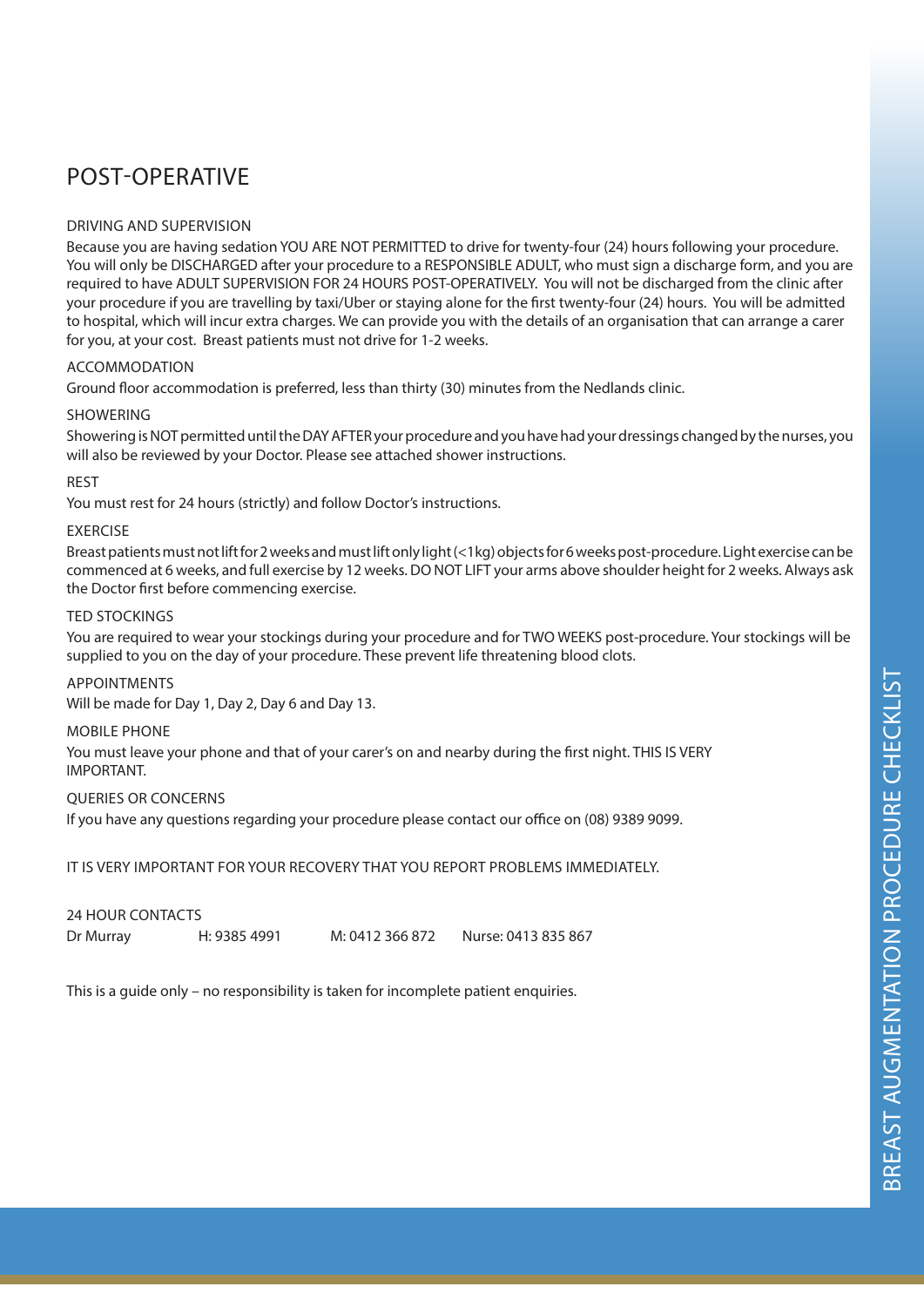## POST-OPERATIVE

### DRIVING AND SUPERVISION

Because you are having sedation YOU ARE NOT PERMITTED to drive for twenty-four (24) hours following your procedure. You will only be DISCHARGED after your procedure to a RESPONSIBLE ADULT, who must sign a discharge form, and you are required to have ADULT SUPERVISION FOR 24 HOURS POST-OPERATIVELY. You will not be discharged from the clinic after your procedure if you are travelling by taxi/Uber or staying alone for the first twenty-four (24) hours. You will be admitted to hospital, which will incur extra charges. We can provide you with the details of an organisation that can arrange a carer for you, at your cost. Breast patients must not drive for 1-2 weeks.

## ACCOMMODATION

Ground floor accommodation is preferred, less than thirty (30) minutes from the Nedlands clinic.

#### SHOWERING

Showering is NOT permitted until the DAY AFTER your procedure and you have had your dressings changed by the nurses, you will also be reviewed by your Doctor. Please see attached shower instructions.

#### REST

You must rest for 24 hours (strictly) and follow Doctor's instructions.

#### EXERCISE

Breast patients must not lift for 2 weeks and must lift only light (<1kg) objects for 6 weeks post-procedure. Light exercise can be commenced at 6 weeks, and full exercise by 12 weeks. DO NOT LIFT your arms above shoulder height for 2 weeks. Always ask the Doctor first before commencing exercise.

#### TED STOCKINGS

You are required to wear your stockings during your procedure and for TWO WEEKS post-procedure. Your stockings will be supplied to you on the day of your procedure. These prevent life threatening blood clots.

## APPOINTMENTS

Will be made for Day 1, Day 2, Day 6 and Day 13.

#### MOBILE PHONE

You must leave your phone and that of your carer's on and nearby during the first night. THIS IS VERY IMPORTANT.

#### QUERIES OR CONCERNS

If you have any questions regarding your procedure please contact our office on (08) 9389 9099.

IT IS VERY IMPORTANT FOR YOUR RECOVERY THAT YOU REPORT PROBLEMS IMMEDIATELY.

| 24 HOUR CONTACTS |              |                 |                     |
|------------------|--------------|-----------------|---------------------|
| Dr Murray        | H: 9385 4991 | M: 0412 366 872 | Nurse: 0413 835 867 |

This is a guide only – no responsibility is taken for incomplete patient enquiries.